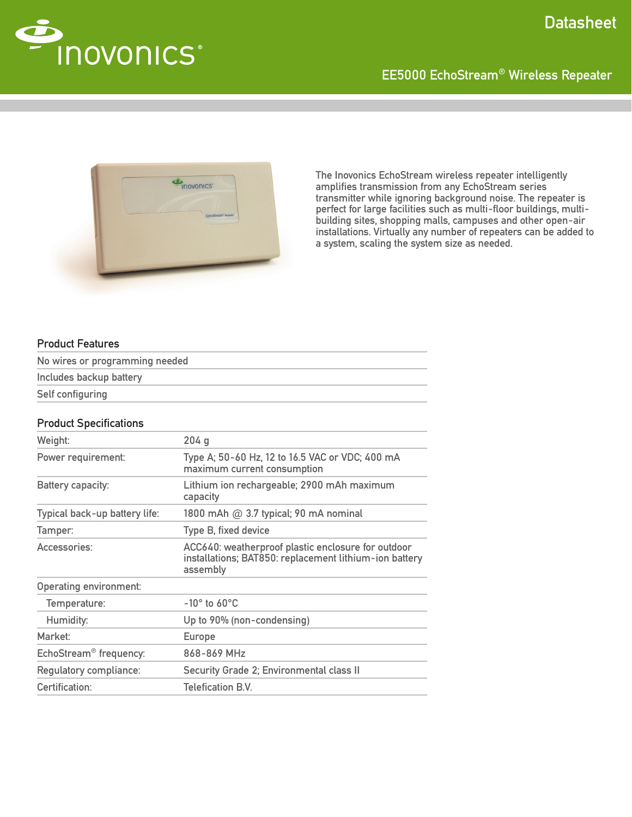

# EE5000 EchoStream® Wireless Repeater



The Inovonics EchoStream wireless repeater intelligently amplifies transmission from any EchoStream series transmitter while ignoring background noise. The repeater is perfect for large facilities such as multi-floor buildings, multibuilding sites, shopping malls, campuses and other open-air installations. Virtually any number of repeaters can be added to a system, scaling the system size as needed.

### Product Features

| No wires or programming needed |  |  |
|--------------------------------|--|--|
| Includes backup battery        |  |  |
| Self configuring               |  |  |

#### Product Specifications

| Weight:                            | 204q                                                                                                                     |
|------------------------------------|--------------------------------------------------------------------------------------------------------------------------|
| Power requirement:                 | Type A; 50-60 Hz, 12 to 16.5 VAC or VDC; 400 mA<br>maximum current consumption                                           |
| Battery capacity:                  | Lithium ion rechargeable; 2900 mAh maximum<br>capacity                                                                   |
| Typical back-up battery life:      | 1800 mAh @ 3.7 typical; 90 mA nominal                                                                                    |
| Tamper:                            | Type B, fixed device                                                                                                     |
| Accessories:                       | ACC640: weatherproof plastic enclosure for outdoor<br>installations; BAT850: replacement lithium-ion battery<br>assembly |
| <b>Operating environment:</b>      |                                                                                                                          |
| Temperature:                       | $-10^\circ$ to 60 $^\circ$ C                                                                                             |
| Humidity:                          | Up to 90% (non-condensing)                                                                                               |
| Market:                            | <b>Europe</b>                                                                                                            |
| EchoStream <sup>®</sup> frequency: | 868-869 MHz                                                                                                              |
| Regulatory compliance:             | Security Grade 2; Environmental class II                                                                                 |
| Certification:                     | <b>Telefication B.V.</b>                                                                                                 |